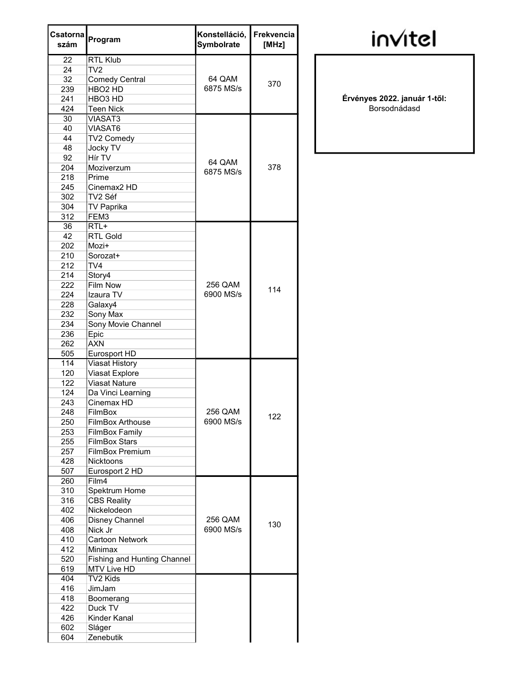| Csatornal<br>szám | Program                            | Konstelláció,<br>Symbolrate | Frekvencia<br>[MHz] |
|-------------------|------------------------------------|-----------------------------|---------------------|
| 22                | <b>RTL Klub</b>                    |                             |                     |
| 24                | TV <sub>2</sub>                    |                             |                     |
| 32                | <b>Comedy Central</b>              | 64 QAM                      | 370                 |
| 239               | HBO <sub>2</sub> HD                | 6875 MS/s                   |                     |
| 241               | HBO <sub>3</sub> HD                |                             |                     |
| 424               | <b>Teen Nick</b>                   |                             |                     |
| 30                | <b>VIASAT3</b>                     |                             |                     |
| 40                | VIASAT6                            |                             |                     |
| 44                | TV2 Comedy                         |                             |                     |
| 48                | Jocky TV                           |                             |                     |
| 92                | Hír TV                             | 64 QAM                      |                     |
| 204               | Moziverzum                         | 6875 MS/s                   | 378                 |
| 218               | Prime                              |                             |                     |
| 245               | Cinemax <sub>2</sub> HD            |                             |                     |
| 302               | TV2 Séf                            |                             |                     |
| 304               | <b>TV Paprika</b>                  |                             |                     |
| 312               | FEM3                               |                             |                     |
| 36                | RTL+                               |                             |                     |
| 42                | <b>RTL Gold</b>                    |                             |                     |
| 202               | Mozi+                              |                             |                     |
| 210               | Sorozat+                           |                             |                     |
| 212               | TV4                                |                             |                     |
| 214               | Story4                             |                             |                     |
| 222               | Film Now                           | 256 QAM                     |                     |
| 224               | Izaura TV                          | 6900 MS/s                   | 114                 |
| 228               | Galaxy4                            |                             |                     |
| 232               | Sony Max                           |                             |                     |
| 234               | Sony Movie Channel                 |                             |                     |
| 236               | Epic                               |                             |                     |
| 262               | <b>AXN</b>                         |                             |                     |
| 505               | Eurosport HD                       |                             |                     |
| 114               | Viasat History                     |                             |                     |
| 120               | Viasat Explore                     |                             |                     |
| 122               | <b>Viasat Nature</b>               |                             |                     |
| 124               | Da Vinci Learning                  |                             |                     |
| 243               | Cinemax HD                         |                             |                     |
| 248               | FilmBox                            | 256 QAM                     |                     |
| 250               | FilmBox Arthouse                   | 6900 MS/s                   | 122                 |
| 253               | <b>FilmBox Family</b>              |                             |                     |
| 255               | <b>FilmBox Stars</b>               |                             |                     |
| 257               | <b>FilmBox Premium</b>             |                             |                     |
| 428               | <b>Nicktoons</b>                   |                             |                     |
| 507               | Eurosport 2 HD                     |                             |                     |
| 260               | Film4                              |                             |                     |
| 310               | Spektrum Home                      |                             |                     |
| 316               | <b>CBS Reality</b>                 |                             |                     |
| 402               | Nickelodeon                        |                             |                     |
| 406               | Disney Channel                     | 256 QAM                     |                     |
| 408               | Nick Jr                            | 6900 MS/s                   | 130                 |
| 410               | <b>Cartoon Network</b>             |                             |                     |
| 412               | Minimax                            |                             |                     |
| 520               | <b>Fishing and Hunting Channel</b> |                             |                     |
| 619               | MTV Live HD                        |                             |                     |
| 404               | TV2 Kids                           |                             |                     |
| 416               | JimJam                             |                             |                     |
| 418               | Boomerang                          |                             |                     |
| 422               | Duck TV                            |                             |                     |
| 426               | Kinder Kanal                       |                             |                     |
| 602               | Sláger                             |                             |                     |
| 604               | Zenebutik                          |                             |                     |
|                   |                                    |                             |                     |

**invitel** 

Érvényes 2022. január 1-től: Borsodnádasd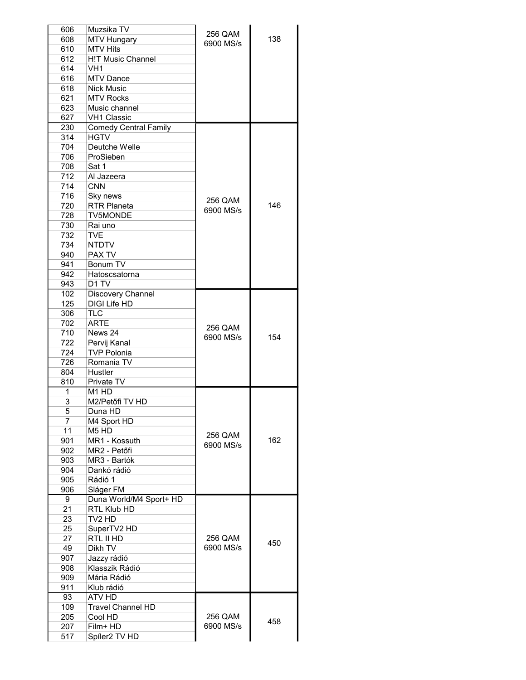| 606            | Muzsika TV                    | 256 QAM   |     |
|----------------|-------------------------------|-----------|-----|
| 608            | <b>MTV Hungary</b>            |           | 138 |
| 610            | <b>MTV Hits</b>               | 6900 MS/s |     |
|                | <b>H!T Music Channel</b>      |           |     |
| 612            |                               |           |     |
| 614            | VH <sub>1</sub>               |           |     |
| 616            | <b>MTV Dance</b>              |           |     |
| 618            | <b>Nick Music</b>             |           |     |
|                | <b>MTV Rocks</b>              |           |     |
| 621            |                               |           |     |
| 623            | Music channel                 |           |     |
| 627            | <b>VH1 Classic</b>            |           |     |
| 230            | <b>Comedy Central Family</b>  |           |     |
| 314            | <b>HGTV</b>                   |           |     |
|                |                               |           |     |
| 704            | Deutche Welle                 |           |     |
| 706            | ProSieben                     |           |     |
| 708            | Sat 1                         |           |     |
| 712            | Al Jazeera                    |           |     |
|                |                               |           |     |
| 714            | <b>CNN</b>                    |           |     |
| 716            | Sky news                      | 256 QAM   |     |
| 720            | <b>RTR Planeta</b>            |           | 146 |
| 728            | <b>TV5MONDE</b>               | 6900 MS/s |     |
|                |                               |           |     |
| 730            | Rai uno                       |           |     |
| 732            | <b>TVE</b>                    |           |     |
| 734            | <b>NTDTV</b>                  |           |     |
| 940            | PAX TV                        |           |     |
| 941            | Bonum TV                      |           |     |
|                |                               |           |     |
| 942            | Hatoscsatorna                 |           |     |
| 943            | D <sub>1</sub> TV             |           |     |
| 102            | Discovery Channel             |           |     |
| 125            | <b>DIGI Life HD</b>           |           |     |
|                |                               |           |     |
| 306            | <b>TLC</b>                    |           |     |
| 702            | <b>ARTE</b>                   | 256 QAM   |     |
| 710            | News 24                       |           |     |
| 722            | Pervij Kanal                  | 6900 MS/s | 154 |
|                |                               |           |     |
| 724            | <b>TVP Polonia</b>            |           |     |
| 726            | Romania TV                    |           |     |
| 804            | Hustler                       |           |     |
| 810            | Private TV                    |           |     |
| 1              | M <sub>1</sub> H <sub>D</sub> |           |     |
|                |                               |           |     |
| $\overline{3}$ | M2/Petőfi TV HD               |           |     |
| 5              | Duna HD                       |           |     |
| 7              | M4 Sport HD                   |           |     |
| 11             | M <sub>5</sub> H <sub>D</sub> |           |     |
|                |                               | 256 QAM   |     |
| 901            | MR1 - Kossuth                 | 6900 MS/s | 162 |
| 902            | MR2 - Petőfi                  |           |     |
| 903            | MR3 - Bartók                  |           |     |
| 904            | Dankó rádió                   |           |     |
|                | Rádió 1                       |           |     |
| 905            |                               |           |     |
| 906            | Sláger FM                     |           |     |
| 9              | Duna World/M4 Sport+ HD       |           |     |
| 21             | RTL Klub HD                   |           |     |
| 23             | TV2 HD                        |           |     |
|                |                               |           |     |
| 25             | SuperTV2 HD                   |           |     |
| 27             | RTL II HD                     | 256 QAM   | 450 |
| 49             | Dikh TV                       | 6900 MS/s |     |
| 907            |                               |           |     |
|                | Jazzy rádió                   |           |     |
| 908            | Klasszik Rádió                |           |     |
| 909            | Mária Rádió                   |           |     |
| 911            | Klub rádió                    |           |     |
|                |                               |           |     |
|                |                               |           |     |
| 93             | ATV HD                        |           |     |
| 109            | <b>Travel Channel HD</b>      |           |     |
| 205            | Cool HD                       | 256 QAM   |     |
|                |                               |           | 458 |
| 207<br>517     | Film+ HD<br>Spíler2 TV HD     | 6900 MS/s |     |